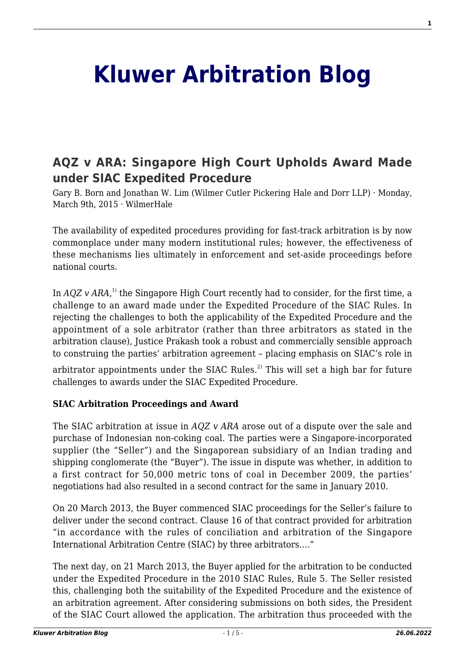# **[Kluwer Arbitration Blog](http://arbitrationblog.kluwerarbitration.com/)**

# **[AQZ v ARA: Singapore High Court Upholds Award Made](http://arbitrationblog.kluwerarbitration.com/2015/03/09/aqz-v-ara-singapore-high-court-upholds-award-made-under-siac-expedited-procedure/) [under SIAC Expedited Procedure](http://arbitrationblog.kluwerarbitration.com/2015/03/09/aqz-v-ara-singapore-high-court-upholds-award-made-under-siac-expedited-procedure/)**

Gary B. Born and Jonathan W. Lim (Wilmer Cutler Pickering Hale and Dorr LLP) · Monday, March 9th, 2015 · WilmerHale

The availability of expedited procedures providing for fast-track arbitration is by now commonplace under many modern institutional rules; however, the effectiveness of these mechanisms lies ultimately in enforcement and set-aside proceedings before national courts.

In AQZ v ARA,<sup>1)</sup> the Singapore High Court recently had to consider, for the first time, a challenge to an award made under the Expedited Procedure of the SIAC Rules. In rejecting the challenges to both the applicability of the Expedited Procedure and the appointment of a sole arbitrator (rather than three arbitrators as stated in the arbitration clause), Justice Prakash took a robust and commercially sensible approach to construing the parties' arbitration agreement – placing emphasis on SIAC's role in

arbitrator appointments under the SIAC Rules.<sup>2)</sup> This will set a high bar for future challenges to awards under the SIAC Expedited Procedure.

### **SIAC Arbitration Proceedings and Award**

The SIAC arbitration at issue in *AQZ v ARA* arose out of a dispute over the sale and purchase of Indonesian non-coking coal. The parties were a Singapore-incorporated supplier (the "Seller") and the Singaporean subsidiary of an Indian trading and shipping conglomerate (the "Buyer"). The issue in dispute was whether, in addition to a first contract for 50,000 metric tons of coal in December 2009, the parties' negotiations had also resulted in a second contract for the same in January 2010.

On 20 March 2013, the Buyer commenced SIAC proceedings for the Seller's failure to deliver under the second contract. Clause 16 of that contract provided for arbitration "in accordance with the rules of conciliation and arbitration of the Singapore International Arbitration Centre (SIAC) by three arbitrators…."

The next day, on 21 March 2013, the Buyer applied for the arbitration to be conducted under the Expedited Procedure in the 2010 SIAC Rules, Rule 5. The Seller resisted this, challenging both the suitability of the Expedited Procedure and the existence of an arbitration agreement. After considering submissions on both sides, the President of the SIAC Court allowed the application. The arbitration thus proceeded with the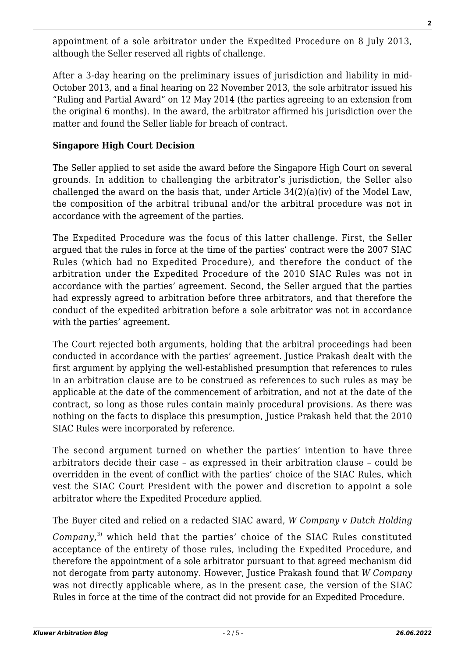appointment of a sole arbitrator under the Expedited Procedure on 8 July 2013, although the Seller reserved all rights of challenge.

After a 3-day hearing on the preliminary issues of jurisdiction and liability in mid-October 2013, and a final hearing on 22 November 2013, the sole arbitrator issued his "Ruling and Partial Award" on 12 May 2014 (the parties agreeing to an extension from the original 6 months). In the award, the arbitrator affirmed his jurisdiction over the matter and found the Seller liable for breach of contract.

# **Singapore High Court Decision**

The Seller applied to set aside the award before the Singapore High Court on several grounds. In addition to challenging the arbitrator's jurisdiction, the Seller also challenged the award on the basis that, under Article 34(2)(a)(iv) of the Model Law, the composition of the arbitral tribunal and/or the arbitral procedure was not in accordance with the agreement of the parties.

The Expedited Procedure was the focus of this latter challenge. First, the Seller argued that the rules in force at the time of the parties' contract were the 2007 SIAC Rules (which had no Expedited Procedure), and therefore the conduct of the arbitration under the Expedited Procedure of the 2010 SIAC Rules was not in accordance with the parties' agreement. Second, the Seller argued that the parties had expressly agreed to arbitration before three arbitrators, and that therefore the conduct of the expedited arbitration before a sole arbitrator was not in accordance with the parties' agreement.

The Court rejected both arguments, holding that the arbitral proceedings had been conducted in accordance with the parties' agreement. Justice Prakash dealt with the first argument by applying the well-established presumption that references to rules in an arbitration clause are to be construed as references to such rules as may be applicable at the date of the commencement of arbitration, and not at the date of the contract, so long as those rules contain mainly procedural provisions. As there was nothing on the facts to displace this presumption, Justice Prakash held that the 2010 SIAC Rules were incorporated by reference.

The second argument turned on whether the parties' intention to have three arbitrators decide their case – as expressed in their arbitration clause – could be overridden in the event of conflict with the parties' choice of the SIAC Rules, which vest the SIAC Court President with the power and discretion to appoint a sole arbitrator where the Expedited Procedure applied.

The Buyer cited and relied on a redacted SIAC award, *W Company v Dutch Holding*

*Company*, 3) which held that the parties' choice of the SIAC Rules constituted acceptance of the entirety of those rules, including the Expedited Procedure, and therefore the appointment of a sole arbitrator pursuant to that agreed mechanism did not derogate from party autonomy. However, Justice Prakash found that *W Company* was not directly applicable where, as in the present case, the version of the SIAC Rules in force at the time of the contract did not provide for an Expedited Procedure.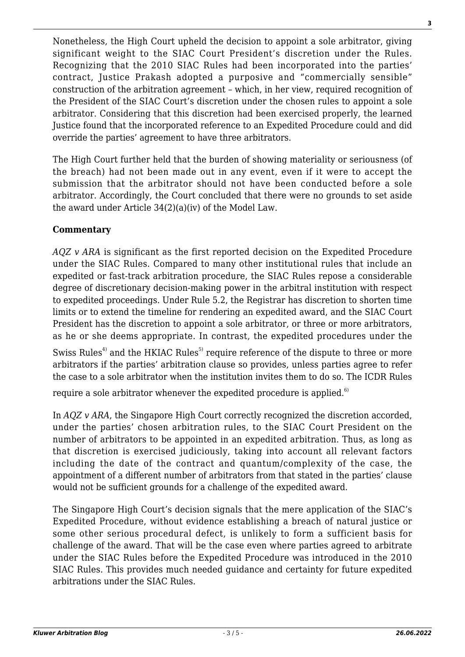Nonetheless, the High Court upheld the decision to appoint a sole arbitrator, giving significant weight to the SIAC Court President's discretion under the Rules. Recognizing that the 2010 SIAC Rules had been incorporated into the parties' contract, Justice Prakash adopted a purposive and "commercially sensible" construction of the arbitration agreement – which, in her view, required recognition of the President of the SIAC Court's discretion under the chosen rules to appoint a sole arbitrator. Considering that this discretion had been exercised properly, the learned Justice found that the incorporated reference to an Expedited Procedure could and did override the parties' agreement to have three arbitrators.

The High Court further held that the burden of showing materiality or seriousness (of the breach) had not been made out in any event, even if it were to accept the submission that the arbitrator should not have been conducted before a sole arbitrator. Accordingly, the Court concluded that there were no grounds to set aside the award under Article 34(2)(a)(iv) of the Model Law.

## **Commentary**

*AQZ v ARA* is significant as the first reported decision on the Expedited Procedure under the SIAC Rules. Compared to many other institutional rules that include an expedited or fast-track arbitration procedure, the SIAC Rules repose a considerable degree of discretionary decision-making power in the arbitral institution with respect to expedited proceedings. Under Rule 5.2, the Registrar has discretion to shorten time limits or to extend the timeline for rendering an expedited award, and the SIAC Court President has the discretion to appoint a sole arbitrator, or three or more arbitrators, as he or she deems appropriate. In contrast, the expedited procedures under the

Swiss Rules<sup>4)</sup> and the HKIAC Rules<sup>5)</sup> require reference of the dispute to three or more arbitrators if the parties' arbitration clause so provides, unless parties agree to refer the case to a sole arbitrator when the institution invites them to do so. The ICDR Rules

require a sole arbitrator whenever the expedited procedure is applied.<sup>6)</sup>

In *AQZ v ARA*, the Singapore High Court correctly recognized the discretion accorded, under the parties' chosen arbitration rules, to the SIAC Court President on the number of arbitrators to be appointed in an expedited arbitration. Thus, as long as that discretion is exercised judiciously, taking into account all relevant factors including the date of the contract and quantum/complexity of the case, the appointment of a different number of arbitrators from that stated in the parties' clause would not be sufficient grounds for a challenge of the expedited award.

The Singapore High Court's decision signals that the mere application of the SIAC's Expedited Procedure, without evidence establishing a breach of natural justice or some other serious procedural defect, is unlikely to form a sufficient basis for challenge of the award. That will be the case even where parties agreed to arbitrate under the SIAC Rules before the Expedited Procedure was introduced in the 2010 SIAC Rules. This provides much needed guidance and certainty for future expedited arbitrations under the SIAC Rules.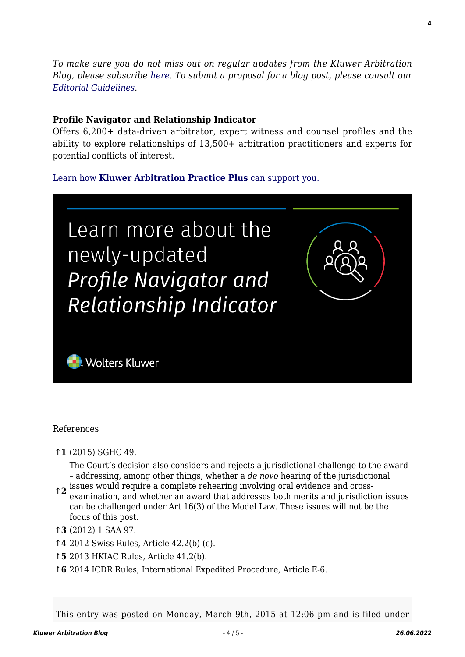*To make sure you do not miss out on regular updates from the Kluwer Arbitration Blog, please subscribe [here](http://arbitrationblog.kluwerarbitration.com/newsletter/). To submit a proposal for a blog post, please consult our [Editorial Guidelines.](http://arbitrationblog.kluwerarbitration.com/editorial-guidelines/)*

#### **Profile Navigator and Relationship Indicator**

Offers 6,200+ data-driven arbitrator, expert witness and counsel profiles and the ability to explore relationships of 13,500+ arbitration practitioners and experts for potential conflicts of interest.

[Learn how](https://www.wolterskluwer.com/en/solutions/kluwerarbitration/practiceplus?utm_source=arbitrationblog&utm_medium=articleCTA&utm_campaign=article-banner) **[Kluwer Arbitration Practice Plus](https://www.wolterskluwer.com/en/solutions/kluwerarbitration/practiceplus?utm_source=arbitrationblog&utm_medium=articleCTA&utm_campaign=article-banner)** [can support you.](https://www.wolterskluwer.com/en/solutions/kluwerarbitration/practiceplus?utm_source=arbitrationblog&utm_medium=articleCTA&utm_campaign=article-banner)



References

**↑1** (2015) SGHC 49.

The Court's decision also considers and rejects a jurisdictional challenge to the award – addressing, among other things, whether a *de novo* hearing of the jurisdictional

- **†2** issues would require a complete rehearing involving oral evidence and crossexamination, and whether an award that addresses both merits and jurisdiction issues can be challenged under Art 16(3) of the Model Law. These issues will not be the focus of this post.
- **↑3** (2012) 1 SAA 97.
- **↑4** 2012 Swiss Rules, Article 42.2(b)-(c).
- **↑5** 2013 HKIAC Rules, Article 41.2(b).
- **↑6** 2014 ICDR Rules, International Expedited Procedure, Article E-6.

This entry was posted on Monday, March 9th, 2015 at 12:06 pm and is filed under